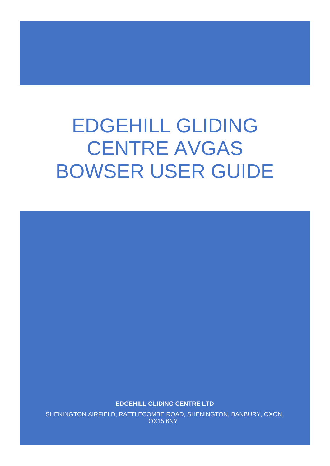# EDGEHILL GLIDING CENTRE AVGAS BOWSER USER GUIDE

**EDGEHILL GLIDING CENTRE LTD**

SHENINGTON AIRFIELD, RATTLECOMBE ROAD, SHENINGTON, BANBURY, OXON, OX15 6NY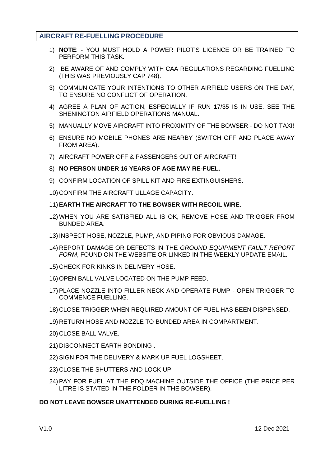#### **AIRCRAFT RE-FUELLING PROCEDURE**

- 1) **NOTE**: YOU MUST HOLD A POWER PILOT'S LICENCE OR BE TRAINED TO PERFORM THIS TASK.
- 2) BE AWARE OF AND COMPLY WITH CAA REGULATIONS REGARDING FUELLING (THIS WAS PREVIOUSLY CAP 748).
- 3) COMMUNICATE YOUR INTENTIONS TO OTHER AIRFIELD USERS ON THE DAY, TO ENSURE NO CONFLICT OF OPERATION.
- 4) AGREE A PLAN OF ACTION, ESPECIALLY IF RUN 17/35 IS IN USE. SEE THE SHENINGTON AIRFIELD OPERATIONS MANUAL.
- 5) MANUALLY MOVE AIRCRAFT INTO PROXIMITY OF THE BOWSER DO NOT TAXI!
- 6) ENSURE NO MOBILE PHONES ARE NEARBY (SWITCH OFF AND PLACE AWAY FROM AREA).
- 7) AIRCRAFT POWER OFF & PASSENGERS OUT OF AIRCRAFT!
- 8) **NO PERSON UNDER 16 YEARS OF AGE MAY RE-FUEL.**
- 9) CONFIRM LOCATION OF SPILL KIT AND FIRE EXTINGUISHERS.
- 10) CONFIRM THE AIRCRAFT ULLAGE CAPACITY.
- 11)**EARTH THE AIRCRAFT TO THE BOWSER WITH RECOIL WIRE.**
- 12) WHEN YOU ARE SATISFIED ALL IS OK, REMOVE HOSE AND TRIGGER FROM BUNDED AREA.
- 13) INSPECT HOSE, NOZZLE, PUMP, AND PIPING FOR OBVIOUS DAMAGE.
- 14) REPORT DAMAGE OR DEFECTS IN THE *GROUND EQUIPMENT FAULT REPORT FORM*, FOUND ON THE WEBSITE OR LINKED IN THE WEEKLY UPDATE EMAIL.
- 15) CHECK FOR KINKS IN DELIVERY HOSE.
- 16) OPEN BALL VALVE LOCATED ON THE PUMP FEED.
- 17)PLACE NOZZLE INTO FILLER NECK AND OPERATE PUMP OPEN TRIGGER TO COMMENCE FUELLING.
- 18) CLOSE TRIGGER WHEN REQUIRED AMOUNT OF FUEL HAS BEEN DISPENSED.
- 19) RETURN HOSE AND NOZZLE TO BUNDED AREA IN COMPARTMENT.
- 20) CLOSE BALL VALVE.
- 21) DISCONNECT EARTH BONDING .
- 22)SIGN FOR THE DELIVERY & MARK UP FUEL LOGSHEET.
- 23) CLOSE THE SHUTTERS AND LOCK UP.
- 24)PAY FOR FUEL AT THE PDQ MACHINE OUTSIDE THE OFFICE (THE PRICE PER LITRE IS STATED IN THE FOLDER IN THE BOWSER).

#### **DO NOT LEAVE BOWSER UNATTENDED DURING RE-FUELLING !**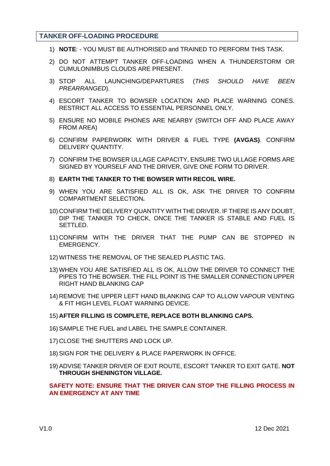#### **TANKER OFF-LOADING PROCEDURE**

- 1) **NOTE**: YOU MUST BE AUTHORISED and TRAINED TO PERFORM THIS TASK.
- 2) DO NOT ATTEMPT TANKER OFF-LOADING WHEN A THUNDERSTORM OR CUMULONIMBUS CLOUDS ARE PRESENT.
- 3) STOP ALL LAUNCHING/DEPARTURES (*THIS SHOULD HAVE BEEN PREARRANGED*).
- 4) ESCORT TANKER TO BOWSER LOCATION AND PLACE WARNING CONES. RESTRICT ALL ACCESS TO ESSENTIAL PERSONNEL ONLY.
- 5) ENSURE NO MOBILE PHONES ARE NEARBY (SWITCH OFF AND PLACE AWAY FROM AREA)
- 6) CONFIRM PAPERWORK WITH DRIVER & FUEL TYPE **(AVGAS)**. CONFIRM DELIVERY QUANTITY.
- 7) CONFIRM THE BOWSER ULLAGE CAPACITY, ENSURE TWO ULLAGE FORMS ARE SIGNED BY YOURSELF AND THE DRIVER, GIVE ONE FORM TO DRIVER.
- 8) **EARTH THE TANKER TO THE BOWSER WITH RECOIL WIRE.**
- 9) WHEN YOU ARE SATISFIED ALL IS OK, ASK THE DRIVER TO CONFIRM COMPARTMENT SELECTION**.**
- 10) CONFIRM THE DELIVERY QUANTITY WITH THE DRIVER. IF THERE IS ANY DOUBT, DIP THE TANKER TO CHECK, ONCE THE TANKER IS STABLE AND FUEL IS SETTLED.
- 11) CONFIRM WITH THE DRIVER THAT THE PUMP CAN BE STOPPED IN EMERGENCY.
- 12) WITNESS THE REMOVAL OF THE SEALED PLASTIC TAG.
- 13) WHEN YOU ARE SATISFIED ALL IS OK, ALLOW THE DRIVER TO CONNECT THE PIPES TO THE BOWSER. THE FILL POINT IS THE SMALLER CONNECTION UPPER RIGHT HAND BLANKING CAP
- 14) REMOVE THE UPPER LEFT HAND BLANKING CAP TO ALLOW VAPOUR VENTING & FIT HIGH LEVEL FLOAT WARNING DEVICE.
- 15) **AFTER FILLING IS COMPLETE, REPLACE BOTH BLANKING CAPS.**
- 16) SAMPLE THE FUEL and LABEL THE SAMPLE CONTAINER.
- 17) CLOSE THE SHUTTERS AND LOCK UP.
- 18)SIGN FOR THE DELIVERY & PLACE PAPERWORK IN OFFICE.
- 19)ADVISE TANKER DRIVER OF EXIT ROUTE, ESCORT TANKER TO EXIT GATE. **NOT THROUGH SHENINGTON VILLAGE.**

#### **SAFETY NOTE: ENSURE THAT THE DRIVER CAN STOP THE FILLING PROCESS IN AN EMERGENCY AT ANY TIME**